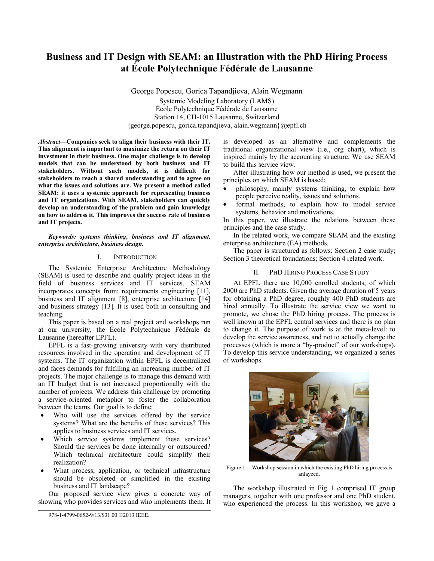# **Business and IT Design with SEAM: an Illustration with the PhD Hiring Process at École Polytechnique Fédérale de Lausanne**

George Popescu, Gorica Tapandjieva, Alain Wegmann Systemic Modeling Laboratory (LAMS) École Polytechnique Fédérale de Lausanne Station 14, CH-1015 Lausanne, Switzerland {george.popescu, gorica.tapandjieva, alain.wegmann}@epfl.ch

*Abstract***—Companies seek to align their business with their IT. This alignment is important to maximize the return on their IT investment in their business. One major challenge is to develop models that can be understood by both business and IT stakeholders. Without such models, it is difficult for stakeholders to reach a shared understanding and to agree on what the issues and solutions are. We present a method called SEAM: it uses a systemic approach for representing business and IT organizations. With SEAM, stakeholders can quickly develop an understanding of the problem and gain knowledge on how to address it. This improves the success rate of business and IT projects.** 

#### *Keywords: systems thinking, business and IT alignment, enterprise architecture, business design.*

## I. INTRODUCTION

The Systemic Enterprise Architecture Methodology (SEAM) is used to describe and qualify project ideas in the field of business services and IT services. SEAM incorporates concepts from: requirements engineering [11], business and IT alignment [8], enterprise architecture [14] and business strategy [13]. It is used both in consulting and teaching.

This paper is based on a real project and workshops run at our university, the École Polytechnique Fédérale de Lausanne (hereafter EPFL).

EPFL is a fast-growing university with very distributed resources involved in the operation and development of IT systems. The IT organization within EPFL is decentralized and faces demands for fulfilling an increasing number of IT projects. The major challenge is to manage this demand with an IT budget that is not increased proportionally with the number of projects. We address this challenge by promoting a service-oriented metaphor to foster the collaboration between the teams. Our goal is to define:

- Who will use the services offered by the service systems? What are the benefits of these services? This applies to business services and IT services.
- Which service systems implement these services? Should the services be done internally or outsourced? Which technical architecture could simplify their realization?
- What process, application, or technical infrastructure should be obsoleted or simplified in the existing business and IT landscape?

Our proposed service view gives a concrete way of showing who provides services and who implements them. It

978-1-4799-0652-9/13/\$31.00 ©2013 IEEE*.*

is developed as an alternative and complements the traditional organizational view (i.e., org chart), which is inspired mainly by the accounting structure. We use SEAM to build this service view.

After illustrating how our method is used, we present the principles on which SEAM is based:

- philosophy, mainly systems thinking, to explain how people perceive reality, issues and solutions.
- formal methods, to explain how to model service systems, behavior and motivations.

In this paper, we illustrate the relations between these principles and the case study.

In the related work, we compare SEAM and the existing enterprise architecture (EA) methods.

The paper is structured as follows: Section 2 case study; Section 3 theoretical foundations; Section 4 related work.

## II. PHD HIRING PROCESS CASE STUDY

At EPFL there are 10,000 enrolled students, of which 2000 are PhD students. Given the average duration of 5 years for obtaining a PhD degree, roughly 400 PhD students are hired annually. To illustrate the service view we want to promote, we chose the PhD hiring process. The process is well known at the EPFL central services and there is no plan to change it. The purpose of work is at the meta-level: to develop the service awareness, and not to actually change the processes (which is more a "by-product" of our workshops). To develop this service understanding, we organized a series of workshops.



Figure 1. Workshop session in which the existing PhD hiring process is anlayzed.

The workshop illustrated in Fig. 1 comprised IT group managers, together with one professor and one PhD student, who experienced the process. In this workshop, we gave a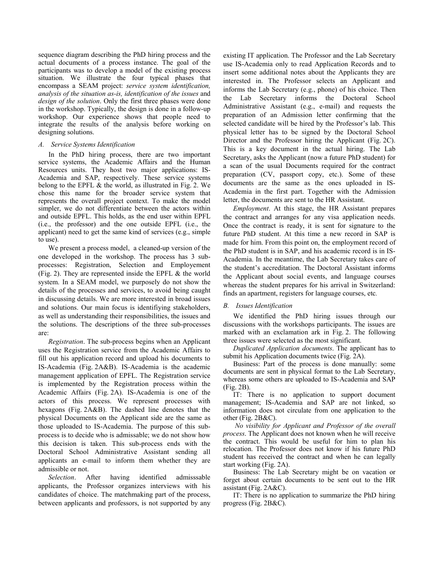sequence diagram describing the PhD hiring process and the actual documents of a process instance. The goal of the participants was to develop a model of the existing process situation. We illustrate the four typical phases that encompass a SEAM project: *service system identification, analysis of the situation as-is, identification of the issues* and *design of the solution*. Only the first three phases were done in the workshop. Typically, the design is done in a follow-up workshop. Our experience shows that people need to integrate the results of the analysis before working on designing solutions.

## *A. Service Systems Identification*

In the PhD hiring process, there are two important service systems, the Academic Affairs and the Human Resources units. They host two major applications: IS-Academia and SAP, respectively. These service systems belong to the EPFL & the world, as illustrated in Fig. 2. We chose this name for the broader service system that represents the overall project context. To make the model simpler, we do not differentiate between the actors within and outside EPFL. This holds, as the end user within EPFL (i.e., the professor) and the one outside EPFL (i.e., the applicant) need to get the same kind of services (e.g., simple to use).

We present a process model, a cleaned-up version of the one developed in the workshop. The process has 3 subprocesses: Registration, Selection and Employement (Fig. 2). They are represented inside the EPFL & the world system. In a SEAM model, we purposely do not show the details of the processes and services, to avoid being caught in discussing details. We are more interested in broad issues and solutions. Our main focus is identifiying stakeholders, as well as understanding their responsibilities, the issues and the solutions. The descriptions of the three sub-processes are:

*Registration*. The sub-process begins when an Applicant uses the Registration service from the Academic Affairs to fill out his application record and upload his documents to IS-Academia (Fig. 2A&B). IS-Academia is the academic management application of EPFL. The Registration service is implemented by the Registration process within the Academic Affairs (Fig. 2A). IS-Academia is one of the actors of this process. We represent processes with hexagons (Fig. 2A&B). The dashed line denotes that the physical Documents on the Applicant side are the same as those uploaded to IS-Academia. The purpose of this subprocess is to decide who is admissable; we do not show how this decision is taken. This sub-process ends with the Doctoral School Administrative Assistant sending all applicants an e-mail to inform them whether they are admissible or not.

*Selection*. After having identified admisssable applicants, the Professor organizes interviews with his candidates of choice. The matchmaking part of the process, between applicants and professors, is not supported by any existing IT application. The Professor and the Lab Secretary use IS-Academia only to read Application Records and to insert some additional notes about the Applicants they are interested in. The Professor selects an Applicant and informs the Lab Secretary (e.g., phone) of his choice. Then the Lab Secretary informs the Doctoral School Administrative Assistant (e.g., e-mail) and requests the preparation of an Admission letter confirming that the selected candidate will be hired by the Professor's lab. This physical letter has to be signed by the Doctoral School Director and the Professor hiring the Applicant (Fig. 2C). This is a key document in the actual hiring. The Lab Secretary, asks the Applicant (now a future PhD student) for a scan of the usual Documents required for the contract preparation (CV, passport copy, etc.). Some of these documents are the same as the ones uploaded in IS-Academia in the first part. Together with the Admission letter, the documents are sent to the HR Assistant.

*Employment*. At this stage, the HR Assistant prepares the contract and arranges for any visa application needs. Once the contract is ready, it is sent for signature to the future PhD student. At this time a new record in SAP is made for him. From this point on, the employment record of the PhD student is in SAP, and his academic record is in IS-Academia. In the meantime, the Lab Secretary takes care of the student's accreditation. The Doctoral Assistant informs the Applicant about social events, and language courses whereas the student prepares for his arrival in Switzerland: finds an apartment, registers for language courses, etc*.* 

## *B. Issues Identification*

We identified the PhD hiring issues through our discussions with the workshops participants. The issues are marked with an exclamation ark in Fig. 2. The following three issues were selected as the most significant.

*Duplicated Application documents*. The applicant has to submit his Application documents twice (Fig. 2A).

Business: Part of the process is done manually: some documents are sent in physical format to the Lab Secretary, whereas some others are uploaded to IS-Academia and SAP (Fig. 2B).

IT: There is no application to support document management; IS-Academia and SAP are not linked, so information does not circulate from one application to the other (Fig.  $2B&C$ ).

*No visibility for Applicant and Professor of the overall process*. The Applicant does not known when he will receive the contract. This would be useful for him to plan his relocation. The Professor does not know if his future PhD student has received the contract and when he can legally start working (Fig. 2A).

Business: The Lab Secretary might be on vacation or forget about certain documents to be sent out to the HR assistant (Fig. 2A&C).

IT: There is no application to summarize the PhD hiring progress (Fig. 2B&C).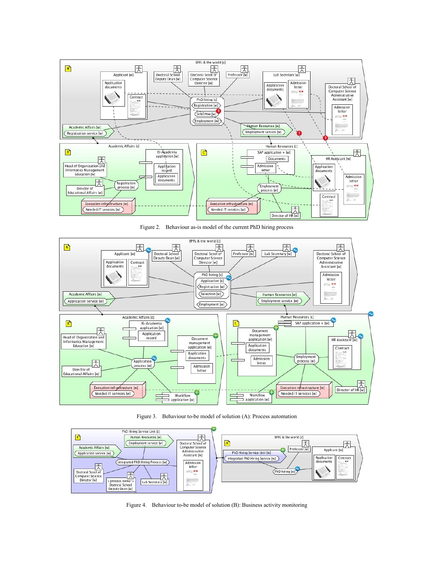

Figure 2. Behaviour as-is model of the current PhD hiring process



Figure 3. Behaviour to-be model of solution (A): Process automation



Figure 4. Behaviour to-be model of solution (B): Business activity monitoring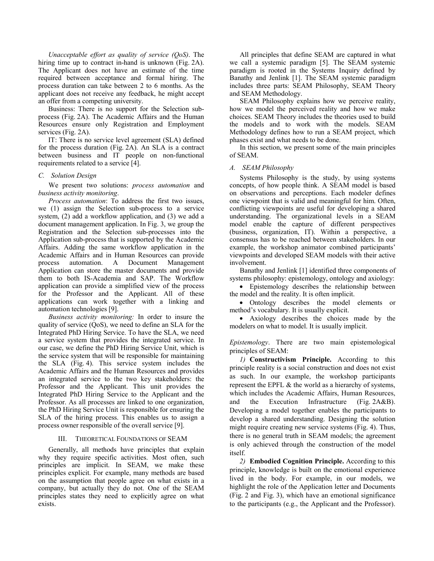*Unacceptable effort as quality of service (QoS)*. The hiring time up to contract in-hand is unknown (Fig. 2A). The Applicant does not have an estimate of the time required between acceptance and formal hiring. The process duration can take between 2 to 6 months. As the applicant does not receive any feedback, he might accept an offer from a competing university.

Business: There is no support for the Selection subprocess (Fig. 2A). The Academic Affairs and the Human Resources ensure only Registration and Employment services (Fig. 2A).

IT: There is no service level agreement (SLA) defined for the process duration (Fig. 2A). An SLA is a contract between business and IT people on non-functional requirements related to a service [4].

#### *C. Solution Design*

We present two solutions: *process automation* and *business activity monitoring*.

*Process automation*: To address the first two issues, we (1) assign the Selection sub-process to a service system, (2) add a workflow application, and (3) we add a document management application. In Fig. 3, we group the Registration and the Selection sub-processes into the Application sub-process that is supported by the Academic Affairs. Adding the same workflow application in the Academic Affairs and in Human Resources can provide process automation. A Document Management Application can store the master documents and provide them to both IS-Academia and SAP. The Workflow application can provide a simplified view of the process for the Professor and the Applicant. All of these applications can work together with a linking and automation technologies [9].

*Business activity monitoring:* In order to insure the quality of service (QoS), we need to define an SLA for the Integrated PhD Hiring Service. To have the SLA, we need a service system that provides the integrated service. In our case, we define the PhD Hiring Service Unit, which is the service system that will be responsible for maintaining the SLA (Fig. 4). This service system includes the Academic Affairs and the Human Resources and provides an integrated service to the two key stakeholders: the Professor and the Applicant. This unit provides the Integrated PhD Hiring Service to the Applicant and the Professor. As all processes are linked to one organization, the PhD Hiring Service Unit is responsible for ensuring the SLA of the hiring process. This enables us to assign a process owner responsible of the overall service [9].

#### III. THEORETICAL FOUNDATIONS OF SEAM

Generally, all methods have principles that explain why they require specific activities. Most often, such principles are implicit. In SEAM, we make these principles explicit. For example, many methods are based on the assumption that people agree on what exists in a company, but actually they do not. One of the SEAM principles states they need to explicitly agree on what exists.

All principles that define SEAM are captured in what we call a systemic paradigm [5]. The SEAM systemic paradigm is rooted in the Systems Inquiry defined by Banathy and Jenlink [1]. The SEAM systemic paradigm includes three parts: SEAM Philosophy, SEAM Theory and SEAM Methodology.

SEAM Philosophy explains how we perceive reality, how we model the perceived reality and how we make choices. SEAM Theory includes the theories used to build the models and to work with the models. SEAM Methodology defines how to run a SEAM project, which phases exist and what needs to be done.

In this section, we present some of the main principles of SEAM.

#### *A. SEAM Philosophy*

Systems Philosophy is the study, by using systems concepts, of how people think. A SEAM model is based on observations and perceptions. Each modeler defines one viewpoint that is valid and meaningful for him. Often, conflicting viewpoints are useful for developing a shared understanding. The organizational levels in a SEAM model enable the capture of different perspectives (business, organization, IT). Within a perspective, a consensus has to be reached between stakeholders. In our example, the workshop animator combined participants' viewpoints and developed SEAM models with their active involvement.

Banathy and Jenlink [1] identified three components of systems philosophy: epistemology, ontology and axiology:

• Epistemology describes the relationship between the model and the reality. It is often implicit.

• Ontology describes the model elements or method's vocabulary. It is usually explicit.

• Axiology describes the choices made by the modelers on what to model. It is usually implicit.

*Epistemology*. There are two main epistemological principles of SEAM:

*1)* **Constructivism Principle.** According to this principle reality is a social construction and does not exist as such. In our example, the workshop participants represent the EPFL & the world as a hierarchy of systems, which includes the Academic Affairs, Human Resources, and the Execution Infrastructure (Fig. 2A&B). Developing a model together enables the participants to develop a shared understanding. Designing the solution might require creating new service systems (Fig. 4). Thus, there is no general truth in SEAM models; the agreement is only achieved through the construction of the model itself.

*2)* **Embodied Cognition Principle.** According to this principle, knowledge is built on the emotional experience lived in the body. For example, in our models, we highlight the role of the Application letter and Documents (Fig. 2 and Fig. 3), which have an emotional significance to the participants (e.g., the Applicant and the Professor).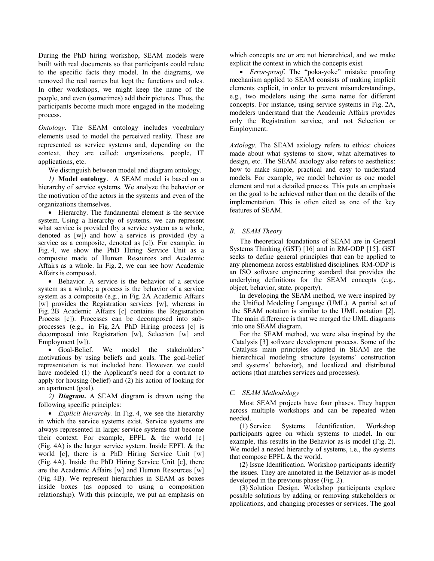During the PhD hiring workshop, SEAM models were built with real documents so that participants could relate to the specific facts they model. In the diagrams, we removed the real names but kept the functions and roles. In other workshops, we might keep the name of the people, and even (sometimes) add their pictures. Thus, the participants become much more engaged in the modeling process.

*Ontology*. The SEAM ontology includes vocabulary elements used to model the perceived reality. These are represented as service systems and, depending on the context, they are called: organizations, people, IT applications, etc.

We distinguish between model and diagram ontology.

*1)* **Model ontology**. A SEAM model is based on a hierarchy of service systems. We analyze the behavior or the motivation of the actors in the systems and even of the organizations themselves.

• Hierarchy. The fundamental element is the service system. Using a hierarchy of systems, we can represent what service is provided (by a service system as a whole, denoted as [w]) and how a service is provided (by a service as a composite, denoted as [c]). For example, in Fig. 4, we show the PhD Hiring Service Unit as a composite made of Human Resources and Academic Affairs as a whole. In Fig. 2, we can see how Academic Affairs is composed.

• Behavior. A service is the behavior of a service system as a whole; a process is the behavior of a service system as a composite (e.g., in Fig. 2A Academic Affairs [w] provides the Registration services [w], whereas in Fig. 2B Academic Affairs [c] contains the Registration Process [c]). Processes can be decomposed into subprocesses (e.g., in Fig. 2A PhD Hiring process [c] is decomposed into Registration [w], Selection [w] and Employment [w]).

• Goal-Belief. We model the stakeholders' motivations by using beliefs and goals. The goal-belief representation is not included here. However, we could have modeled (1) the Applicant's need for a contract to apply for housing (belief) and (2) his action of looking for an apartment (goal).

*2) Diagram***.** A SEAM diagram is drawn using the following specific principles:

• *Explicit hierarchy.* In Fig. 4, we see the hierarchy in which the service systems exist. Service systems are always represented in larger service systems that become their context. For example, EPFL  $\&$  the world  $[c]$ (Fig. 4A) is the larger service system. Inside EPFL & the world [c], there is a PhD Hiring Service Unit [w] (Fig. 4A). Inside the PhD Hiring Service Unit [c], there are the Academic Affairs [w] and Human Resources [w] (Fig. 4B). We represent hierarchies in SEAM as boxes inside boxes (as opposed to using a composition relationship). With this principle, we put an emphasis on which concepts are or are not hierarchical, and we make explicit the context in which the concepts exist*.*

• *Error-proof*. The "poka-yoke" mistake proofing mechanism applied to SEAM consists of making implicit elements explicit, in order to prevent misunderstandings, e.g., two modelers using the same name for different concepts. For instance, using service systems in Fig. 2A, modelers understand that the Academic Affairs provides only the Registration service, and not Selection or Employment.

*Axiology.* The SEAM axiology refers to ethics: choices made about what systems to show, what alternatives to design, etc. The SEAM axiology also refers to aesthetics: how to make simple, practical and easy to understand models. For example, we model behavior as one model element and not a detailed process. This puts an emphasis on the goal to be achieved rather than on the details of the implementation. This is often cited as one of the key features of SEAM.

## *B. SEAM Theory*

The theoretical foundations of SEAM are in General Systems Thinking (GST) [16] and in RM-ODP [15]. GST seeks to define general principles that can be applied to any phenomena across established disciplines. RM-ODP is an ISO software engineering standard that provides the underlying definitions for the SEAM concepts (e.g., object, behavior, state, property).

In developing the SEAM method, we were inspired by the Unified Modeling Language (UML). A partial set of the SEAM notation is similar to the UML notation [2]. The main difference is that we merged the UML diagrams into one SEAM diagram.

For the SEAM method, we were also inspired by the Catalysis [3] software development process. Some of the Catalysis main principles adapted in SEAM are the hierarchical modeling structure (systems' construction and systems' behavior), and localized and distributed actions (that matches services and processes).

#### *C. SEAM Methodology*

Most SEAM projects have four phases. They happen across multiple workshops and can be repeated when needed.

(1) Service Systems Identification. Workshop participants agree on which systems to model. In our example, this results in the Behavior as-is model (Fig. 2). We model a nested hierarchy of systems, i.e., the systems that compose EPFL & the world.

(2) Issue Identification. Workshop participants identify the issues. They are annotated in the Behavior as-is model developed in the previous phase (Fig. 2).

(3) Solution Design. Workshop participants explore possible solutions by adding or removing stakeholders or applications, and changing processes or services. The goal